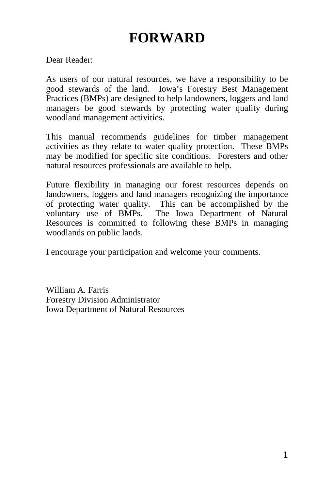# **FORWARD**

Dear Reader:

As users of our natural resources, we have a responsibility to be good stewards of the land. Iowa's Forestry Best Management Practices (BMPs) are designed to help landowners, loggers and land managers be good stewards by protecting water quality during woodland management activities.

This manual recommends guidelines for timber management activities as they relate to water quality protection. These BMPs may be modified for specific site conditions. Foresters and other natural resources professionals are available to help.

Future flexibility in managing our forest resources depends on landowners, loggers and land managers recognizing the importance of protecting water quality. This can be accomplished by the voluntary use of BMPs. The Iowa Department of Natural Resources is committed to following these BMPs in managing woodlands on public lands.

I encourage your participation and welcome your comments.

William A. Farris Forestry Division Administrator Iowa Department of Natural Resources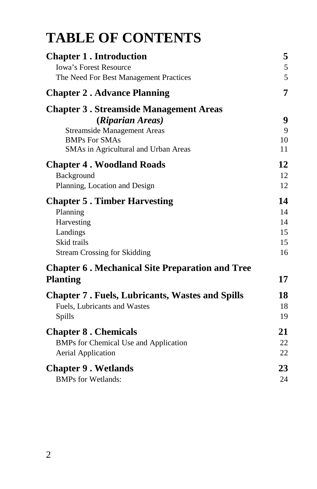# **TABLE OF CONTENTS**

| <b>Chapter 1. Introduction</b>                         | 5  |
|--------------------------------------------------------|----|
| <b>Iowa's Forest Resource</b>                          | 5  |
| The Need For Best Management Practices                 | 5  |
| <b>Chapter 2. Advance Planning</b>                     | 7  |
| <b>Chapter 3. Streamside Management Areas</b>          |    |
| (Riparian Areas)                                       | 9  |
| <b>Streamside Management Areas</b>                     | 9  |
| <b>BMPs For SMAs</b>                                   | 10 |
| SMAs in Agricultural and Urban Areas                   | 11 |
| <b>Chapter 4. Woodland Roads</b>                       | 12 |
| Background                                             | 12 |
| Planning, Location and Design                          | 12 |
| <b>Chapter 5. Timber Harvesting</b>                    | 14 |
| Planning                                               | 14 |
| Harvesting                                             | 14 |
| Landings                                               | 15 |
| Skid trails                                            | 15 |
| <b>Stream Crossing for Skidding</b>                    | 16 |
| <b>Chapter 6. Mechanical Site Preparation and Tree</b> |    |
| <b>Planting</b>                                        | 17 |
| <b>Chapter 7. Fuels, Lubricants, Wastes and Spills</b> | 18 |
| Fuels, Lubricants and Wastes                           | 18 |
| Spills                                                 | 19 |
| <b>Chapter 8. Chemicals</b>                            | 21 |
| BMPs for Chemical Use and Application                  | 22 |
| <b>Aerial Application</b>                              | 22 |
| <b>Chapter 9. Wetlands</b>                             | 23 |
| <b>BMPs for Wetlands:</b>                              | 24 |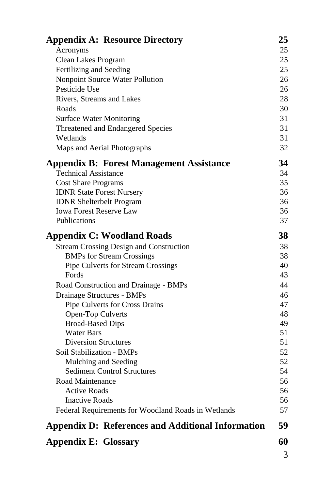| <b>Appendix A: Resource Directory</b>                    | 25       |  |  |  |
|----------------------------------------------------------|----------|--|--|--|
| Acronyms                                                 | 25       |  |  |  |
| Clean Lakes Program                                      | 25       |  |  |  |
| Fertilizing and Seeding                                  | 25       |  |  |  |
| Nonpoint Source Water Pollution                          | 26       |  |  |  |
| Pesticide Use                                            | 26       |  |  |  |
| Rivers, Streams and Lakes                                | 28       |  |  |  |
| Roads                                                    | 30       |  |  |  |
| <b>Surface Water Monitoring</b>                          | 31       |  |  |  |
| Threatened and Endangered Species                        | 31       |  |  |  |
| Wetlands                                                 | 31       |  |  |  |
| Maps and Aerial Photographs                              | 32       |  |  |  |
| <b>Appendix B: Forest Management Assistance</b>          | 34       |  |  |  |
| <b>Technical Assistance</b>                              | 34       |  |  |  |
| <b>Cost Share Programs</b>                               | 35       |  |  |  |
| <b>IDNR State Forest Nursery</b>                         | 36       |  |  |  |
| <b>IDNR</b> Shelterbelt Program                          | 36       |  |  |  |
| <b>Iowa Forest Reserve Law</b>                           | 36       |  |  |  |
| <b>Publications</b>                                      | 37       |  |  |  |
| <b>Appendix C: Woodland Roads</b>                        | 38       |  |  |  |
| <b>Stream Crossing Design and Construction</b>           | 38       |  |  |  |
| <b>BMPs for Stream Crossings</b>                         | 38       |  |  |  |
| Pipe Culverts for Stream Crossings                       | 40       |  |  |  |
| Fords                                                    | 43       |  |  |  |
| Road Construction and Drainage - BMPs                    | 44       |  |  |  |
| Drainage Structures - BMPs                               | 46       |  |  |  |
| Pipe Culverts for Cross Drains                           | 47       |  |  |  |
| Open-Top Culverts                                        | 48       |  |  |  |
| <b>Broad-Based Dips</b>                                  | 49       |  |  |  |
| <b>Water Bars</b>                                        | 51       |  |  |  |
| <b>Diversion Structures</b>                              | 51       |  |  |  |
| Soil Stabilization - BMPs                                | 52       |  |  |  |
| Mulching and Seeding                                     | 52       |  |  |  |
| <b>Sediment Control Structures</b>                       | 54       |  |  |  |
| Road Maintenance                                         | 56       |  |  |  |
| <b>Active Roads</b>                                      | 56<br>56 |  |  |  |
| <b>Inactive Roads</b>                                    |          |  |  |  |
| Federal Requirements for Woodland Roads in Wetlands      | 57       |  |  |  |
| <b>Appendix D: References and Additional Information</b> | 59       |  |  |  |
| <b>Appendix E: Glossary</b>                              | 60       |  |  |  |
|                                                          | 3        |  |  |  |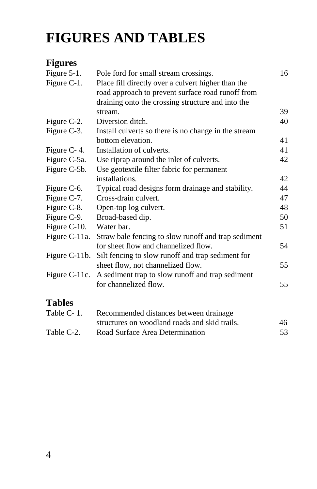# **FIGURES AND TABLES**

#### **Figures**

| Figure $5-1$ .   | Pole ford for small stream crossings.                | 16 |
|------------------|------------------------------------------------------|----|
| Figure C-1.      | Place fill directly over a culvert higher than the   |    |
|                  | road approach to prevent surface road runoff from    |    |
|                  | draining onto the crossing structure and into the    |    |
|                  | stream.                                              | 39 |
| Figure C-2.      | Diversion ditch.                                     | 40 |
| Figure C-3.      | Install culverts so there is no change in the stream |    |
|                  | bottom elevation.                                    | 41 |
| Figure C-4.      | Installation of culverts.                            | 41 |
| Figure C-5a.     | Use riprap around the inlet of culverts.             | 42 |
| Figure C-5b.     | Use geotextile filter fabric for permanent           |    |
|                  | installations.                                       | 42 |
| Figure C-6.      | Typical road designs form drainage and stability.    | 44 |
| Figure C-7.      | Cross-drain culvert.                                 | 47 |
| Figure C-8.      | Open-top log culvert.                                | 48 |
| Figure C-9.      | Broad-based dip.                                     | 50 |
| Figure C-10.     | Water bar.                                           | 51 |
| Figure C-11a.    | Straw bale fencing to slow runoff and trap sediment  |    |
|                  | for sheet flow and channelized flow.                 | 54 |
| Figure C-11b.    | Silt fencing to slow runoff and trap sediment for    |    |
|                  | sheet flow, not channelized flow.                    | 55 |
| Figure $C-11c$ . | A sediment trap to slow runoff and trap sediment     |    |
|                  | for channelized flow.                                | 55 |
| <b>Tables</b>    |                                                      |    |
| Table C-1.       | Recommended distances between drainage               |    |
|                  | structures on woodland roads and skid trails.        | 46 |
| Table C-2.       | Road Surface Area Determination                      | 53 |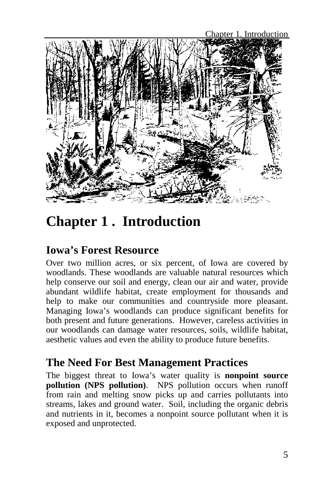

# **Chapter 1 . Introduction**

### **Iowa's Forest Resource**

Over two million acres, or six percent, of Iowa are covered by woodlands. These woodlands are valuable natural resources which help conserve our soil and energy, clean our air and water, provide abundant wildlife habitat, create employment for thousands and help to make our communities and countryside more pleasant. Managing Iowa's woodlands can produce significant benefits for both present and future generations. However, careless activities in our woodlands can damage water resources, soils, wildlife habitat, aesthetic values and even the ability to produce future benefits.

#### **The Need For Best Management Practices**

The biggest threat to Iowa's water quality is **nonpoint source pollution (NPS pollution)**. NPS pollution occurs when runoff from rain and melting snow picks up and carries pollutants into streams, lakes and ground water. Soil, including the organic debris and nutrients in it, becomes a nonpoint source pollutant when it is exposed and unprotected.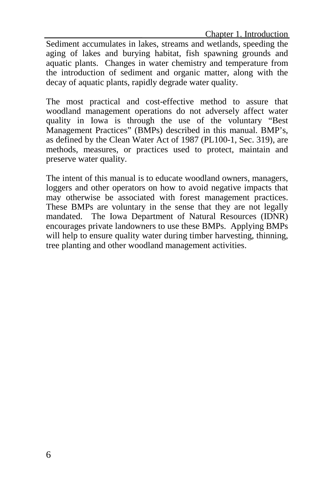Chapter 1. Introduction

Sediment accumulates in lakes, streams and wetlands, speeding the aging of lakes and burying habitat, fish spawning grounds and aquatic plants. Changes in water chemistry and temperature from the introduction of sediment and organic matter, along with the decay of aquatic plants, rapidly degrade water quality.

The most practical and cost-effective method to assure that woodland management operations do not adversely affect water quality in Iowa is through the use of the voluntary "Best Management Practices" (BMPs) described in this manual. BMP's, as defined by the Clean Water Act of 1987 (PL100-1, Sec. 319), are methods, measures, or practices used to protect, maintain and preserve water quality.

The intent of this manual is to educate woodland owners, managers, loggers and other operators on how to avoid negative impacts that may otherwise be associated with forest management practices. These BMPs are voluntary in the sense that they are not legally mandated. The Iowa Department of Natural Resources (IDNR) encourages private landowners to use these BMPs. Applying BMPs will help to ensure quality water during timber harvesting, thinning, tree planting and other woodland management activities.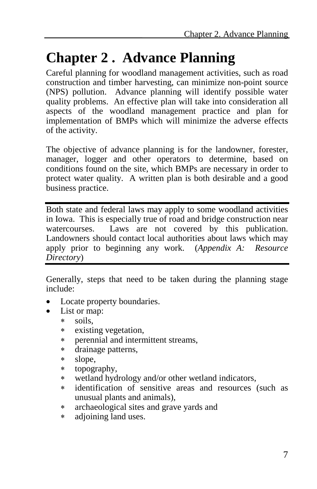## **Chapter 2 . Advance Planning**

Careful planning for woodland management activities, such as road construction and timber harvesting, can minimize non-point source (NPS) pollution. Advance planning will identify possible water quality problems. An effective plan will take into consideration all aspects of the woodland management practice and plan for implementation of BMPs which will minimize the adverse effects of the activity.

The objective of advance planning is for the landowner, forester, manager, logger and other operators to determine, based on conditions found on the site, which BMPs are necessary in order to protect water quality. A written plan is both desirable and a good business practice.

Both state and federal laws may apply to some woodland activities in Iowa. This is especially true of road and bridge construction near watercourses. Laws are not covered by this publication. Landowners should contact local authorities about laws which may apply prior to beginning any work. (*Appendix A: Resource Directory*)

Generally, steps that need to be taken during the planning stage include:

- Locate property boundaries.
- List or map:
	- ∗ soils,
	- ∗ existing vegetation,
	- ∗ perennial and intermittent streams,
	- ∗ drainage patterns,
	- ∗ slope,
	- ∗ topography,
	- ∗ wetland hydrology and/or other wetland indicators,
	- ∗ identification of sensitive areas and resources (such as unusual plants and animals),
	- ∗ archaeological sites and grave yards and
	- ∗ adjoining land uses.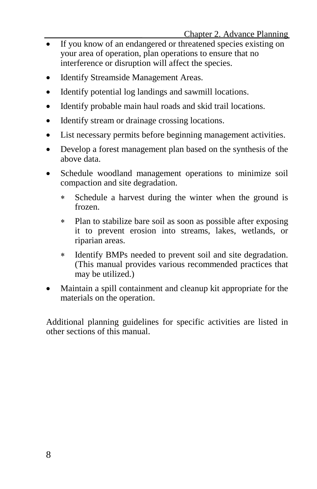- If you know of an endangered or threatened species existing on your area of operation, plan operations to ensure that no interference or disruption will affect the species.
- Identify Streamside Management Areas.
- Identify potential log landings and sawmill locations.
- Identify probable main haul roads and skid trail locations.
- Identify stream or drainage crossing locations.
- List necessary permits before beginning management activities.
- Develop a forest management plan based on the synthesis of the above data.
- Schedule woodland management operations to minimize soil compaction and site degradation.
	- ∗ Schedule a harvest during the winter when the ground is frozen.
	- ∗ Plan to stabilize bare soil as soon as possible after exposing it to prevent erosion into streams, lakes, wetlands, or riparian areas.
	- ∗ Identify BMPs needed to prevent soil and site degradation. (This manual provides various recommended practices that may be utilized.)
- Maintain a spill containment and cleanup kit appropriate for the materials on the operation.

Additional planning guidelines for specific activities are listed in other sections of this manual.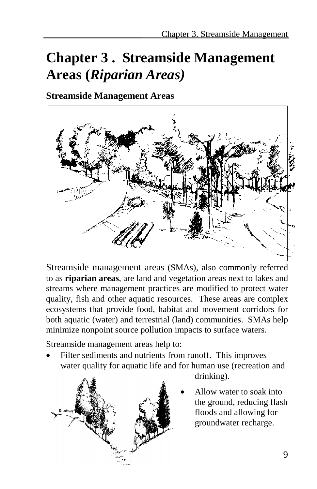# **Chapter 3 . Streamside Management Areas (***Riparian Areas)*

**Streamside Management Areas**



Streamside management areas (SMAs), also commonly referred to as **riparian areas**, are land and vegetation areas next to lakes and streams where management practices are modified to protect water quality, fish and other aquatic resources. These areas are complex ecosystems that provide food, habitat and movement corridors for both aquatic (water) and terrestrial (land) communities. SMAs help minimize nonpoint source pollution impacts to surface waters.

Streamside management areas help to:

Filter sediments and nutrients from runoff. This improves water quality for aquatic life and for human use (recreation and

drinking).

• Allow water to soak into the ground, reducing flash floods and allowing for groundwater recharge.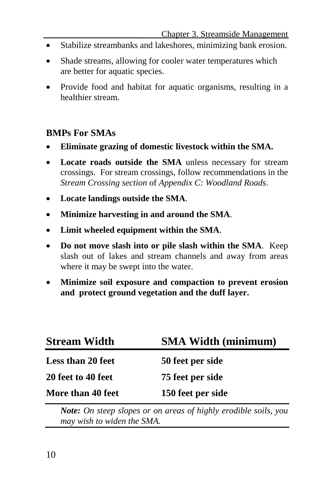- Stabilize streambanks and lakeshores, minimizing bank erosion.
- Shade streams, allowing for cooler water temperatures which are better for aquatic species.
- Provide food and habitat for aquatic organisms, resulting in a healthier stream.

#### **BMPs For SMAs**

- **Eliminate grazing of domestic livestock within the SMA.**
- **Locate roads outside the SMA** unless necessary for stream crossings. For stream crossings, follow recommendations in the *Stream Crossing section* of *Appendix C: Woodland Roads*.
- **Locate landings outside the SMA**.
- **Minimize harvesting in and around the SMA**.
- **Limit wheeled equipment within the SMA**.
- **Do not move slash into or pile slash within the SMA**. Keep slash out of lakes and stream channels and away from areas where it may be swept into the water.
- **Minimize soil exposure and compaction to prevent erosion and protect ground vegetation and the duff layer.**

| <b>Stream Width</b>      | <b>SMA Width (minimum)</b> |
|--------------------------|----------------------------|
| <b>Less than 20 feet</b> | 50 feet per side           |
| 20 feet to 40 feet       | 75 feet per side           |
| More than 40 feet        | 150 feet per side          |

*Note: On steep slopes or on areas of highly erodible soils, you may wish to widen the SMA.*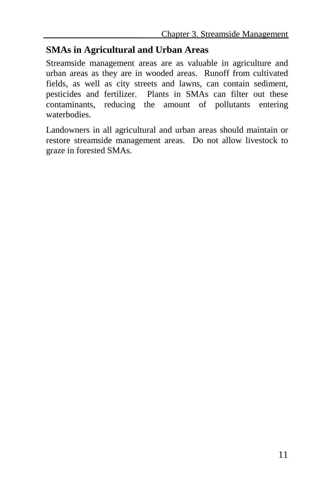#### **SMAs in Agricultural and Urban Areas**

Streamside management areas are as valuable in agriculture and urban areas as they are in wooded areas. Runoff from cultivated fields, as well as city streets and lawns, can contain sediment, pesticides and fertilizer. Plants in SMAs can filter out these contaminants, reducing the amount of pollutants entering waterbodies.

Landowners in all agricultural and urban areas should maintain or restore streamside management areas. Do not allow livestock to graze in forested SMAs.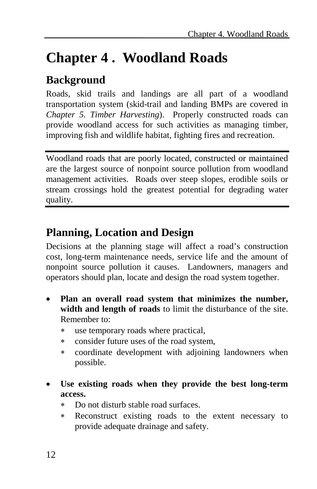# **Chapter 4 . Woodland Roads**

## **Background**

Roads, skid trails and landings are all part of a woodland transportation system (skid-trail and landing BMPs are covered in *Chapter 5. Timber Harvesting*). Properly constructed roads can provide woodland access for such activities as managing timber, improving fish and wildlife habitat, fighting fires and recreation.

Woodland roads that are poorly located, constructed or maintained are the largest source of nonpoint source pollution from woodland management activities. Roads over steep slopes, erodible soils or stream crossings hold the greatest potential for degrading water quality.

### **Planning, Location and Design**

Decisions at the planning stage will affect a road's construction cost, long-term maintenance needs, service life and the amount of nonpoint source pollution it causes. Landowners, managers and operators should plan, locate and design the road system together.

- **Plan an overall road system that minimizes the number, width and length of roads** to limit the disturbance of the site. Remember to:
	- ∗ use temporary roads where practical,
	- ∗ consider future uses of the road system,
	- ∗ coordinate development with adjoining landowners when possible.
- Use existing roads when they provide the best long-term **access.**
	- Do not disturb stable road surfaces.
	- ∗ Reconstruct existing roads to the extent necessary to provide adequate drainage and safety.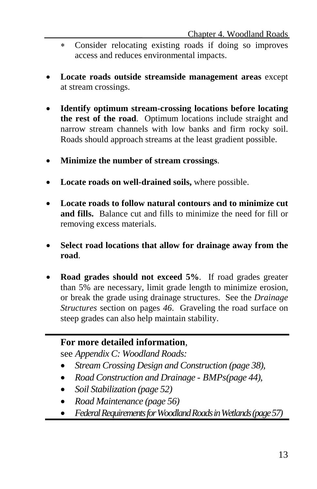- ∗ Consider relocating existing roads if doing so improves access and reduces environmental impacts.
- **Locate roads outside streamside management areas** except at stream crossings.
- **Identify optimum stream-crossing locations before locating the rest of the road**. Optimum locations include straight and narrow stream channels with low banks and firm rocky soil. Roads should approach streams at the least gradient possible.
- **Minimize the number of stream crossings**.
- **Locate roads on well-drained soils,** where possible.
- **Locate roads to follow natural contours and to minimize cut and fills.** Balance cut and fills to minimize the need for fill or removing excess materials.
- **Select road locations that allow for drainage away from the road**.
- **Road grades should not exceed 5%**. If road grades greater than 5% are necessary, limit grade length to minimize erosion, or break the grade using drainage structures. See the *Drainage Structures* section on pages *46*. Graveling the road surface on steep grades can also help maintain stability.

#### **For more detailed information**,

see *Appendix C: Woodland Roads:*

- *Stream Crossing Design and Construction (page 38),*
- *Road Construction and Drainage - BMPs(page 44),*
- *Soil Stabilization (page 52)*
- *Road Maintenance (page 56)*
- *Federal Requirements for Woodland Roads in Wetlands(page 57)*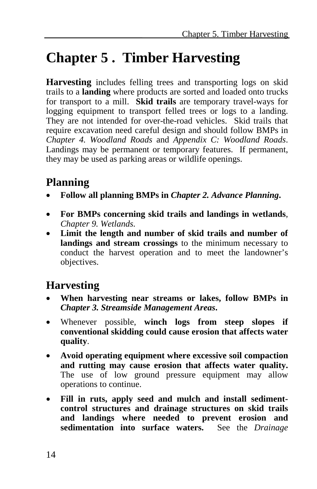# **Chapter 5 . Timber Harvesting**

**Harvesting** includes felling trees and transporting logs on skid trails to a **landing** where products are sorted and loaded onto trucks for transport to a mill. **Skid trails** are temporary travel-ways for logging equipment to transport felled trees or logs to a landing. They are not intended for over-the-road vehicles. Skid trails that require excavation need careful design and should follow BMPs in *Chapter 4. Woodland Roads* and *Appendix C: Woodland Roads*. Landings may be permanent or temporary features. If permanent, they may be used as parking areas or wildlife openings.

### **Planning**

- **Follow all planning BMPs in** *Chapter 2. Advance Planning***.**
- **For BMPs concerning skid trails and landings in wetlands**, *Chapter 9. Wetlands.*
- **Limit the length and number of skid trails and number of landings and stream crossings** to the minimum necessary to conduct the harvest operation and to meet the landowner's objectives.

### **Harvesting**

- **When harvesting near streams or lakes, follow BMPs in**  *Chapter 3. Streamside Management Areas***.**
- Whenever possible, **winch logs from steep slopes if conventional skidding could cause erosion that affects water quality**.
- **Avoid operating equipment where excessive soil compaction and rutting may cause erosion that affects water quality.** The use of low ground pressure equipment may allow operations to continue.
- Fill in ruts, apply seed and mulch and install sediment**control structures and drainage structures on skid trails and landings where needed to prevent erosion and sedimentation into surface waters.** See the *Drainage*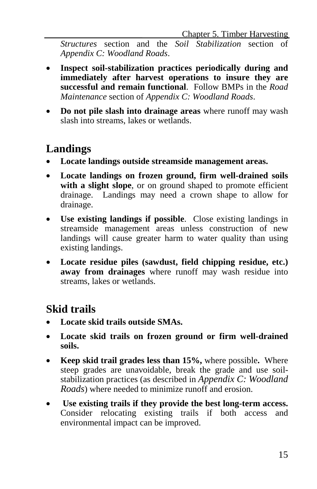*Structures* section and the *Soil Stabilization* section of *Appendix C: Woodland Roads*.

- **Inspect soil-stabilization practices periodically during and immediately after harvest operations to insure they are successful and remain functional**. Follow BMPs in the *Road Maintenance* section of *Appendix C: Woodland Roads*.
- **Do not pile slash into drainage areas** where runoff may wash slash into streams, lakes or wetlands.

### **Landings**

- **Locate landings outside streamside management areas.**
- **Locate landings on frozen ground, firm well-drained soils**  with a slight slope, or on ground shaped to promote efficient drainage. Landings may need a crown shape to allow for drainage.
- **Use existing landings if possible**. Close existing landings in streamside management areas unless construction of new landings will cause greater harm to water quality than using existing landings.
- **Locate residue piles (sawdust, field chipping residue, etc.) away from drainages** where runoff may wash residue into streams, lakes or wetlands.

### **Skid trails**

- **Locate skid trails outside SMAs.**
- **Locate skid trails on frozen ground or firm well-drained soils.**
- **Keep skid trail grades less than 15%,** where possible**.** Where steep grades are unavoidable, break the grade and use soilstabilization practices (as described in *Appendix C: Woodland Roads*) where needed to minimize runoff and erosion.
- **Use existing trails if they provide the best long-term access.** Consider relocating existing trails if both access and environmental impact can be improved.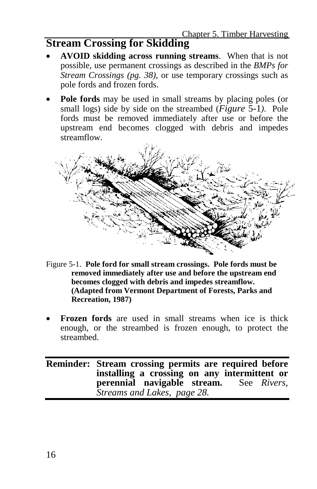## **Stream Crossing for Skidding**

- **AVOID skidding across running streams**. When that is not possible, use permanent crossings as described in the *BMPs for Stream Crossings (pg. 38)*, or use temporary crossings such as pole fords and frozen fords.
- **Pole fords** may be used in small streams by placing poles (or small logs) side by side on the streambed (*Figure* 5-1*)*. Pole fords must be removed immediately after use or before the upstream end becomes clogged with debris and impedes streamflow.

- Figure 5-1. **Pole ford for small stream crossings. Pole fords must be removed immediately after use and before the upstream end becomes clogged with debris and impedes streamflow. (Adapted from Vermont Department of Forests, Parks and Recreation, 1987)**
- **Frozen fords** are used in small streams when ice is thick enough, or the streambed is frozen enough, to protect the streambed.

**Reminder: Stream crossing permits are required before installing a crossing on any intermittent or perennial navigable stream.** See *Rivers, Streams and Lakes, page 28.*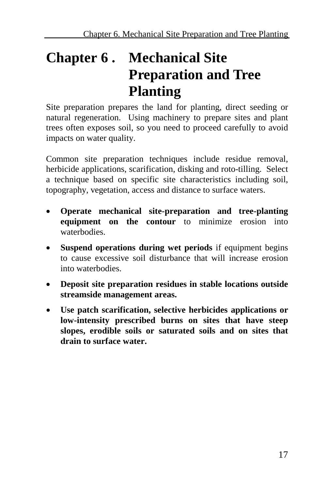# **Chapter 6 . Mechanical Site Preparation and Tree Planting**

Site preparation prepares the land for planting, direct seeding or natural regeneration. Using machinery to prepare sites and plant trees often exposes soil, so you need to proceed carefully to avoid impacts on water quality.

Common site preparation techniques include residue removal, herbicide applications, scarification, disking and roto-tilling. Select a technique based on specific site characteristics including soil, topography, vegetation, access and distance to surface waters.

- **Operate mechanical site-preparation and tree-planting equipment on the contour** to minimize erosion into waterbodies.
- **Suspend operations during wet periods** if equipment begins to cause excessive soil disturbance that will increase erosion into waterbodies.
- **Deposit site preparation residues in stable locations outside streamside management areas.**
- **Use patch scarification, selective herbicides applications or low-intensity prescribed burns on sites that have steep slopes, erodible soils or saturated soils and on sites that drain to surface water.**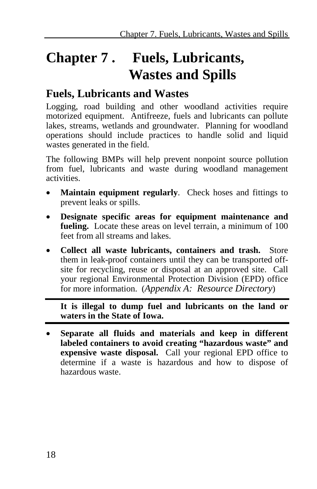# **Chapter 7 . Fuels, Lubricants, Wastes and Spills**

### **Fuels, Lubricants and Wastes**

Logging, road building and other woodland activities require motorized equipment. Antifreeze, fuels and lubricants can pollute lakes, streams, wetlands and groundwater. Planning for woodland operations should include practices to handle solid and liquid wastes generated in the field.

The following BMPs will help prevent nonpoint source pollution from fuel, lubricants and waste during woodland management activities.

- **Maintain equipment regularly.** Check hoses and fittings to prevent leaks or spills.
- **Designate specific areas for equipment maintenance and fueling.** Locate these areas on level terrain, a minimum of 100 feet from all streams and lakes.
- **Collect all waste lubricants, containers and trash.** Store them in leak-proof containers until they can be transported offsite for recycling, reuse or disposal at an approved site. Call your regional Environmental Protection Division (EPD) office for more information. (*Appendix A: Resource Directory*)

**It is illegal to dump fuel and lubricants on the land or waters in the State of Iowa.**

• **Separate all fluids and materials and keep in different labeled containers to avoid creating "hazardous waste" and expensive waste disposal.** Call your regional EPD office to determine if a waste is hazardous and how to dispose of hazardous waste.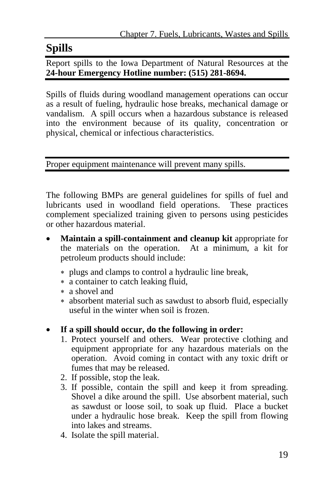## **Spills**

Report spills to the Iowa Department of Natural Resources at the **24-hour Emergency Hotline number: (515) 281-8694.**

Spills of fluids during woodland management operations can occur as a result of fueling, hydraulic hose breaks, mechanical damage or vandalism. A spill occurs when a hazardous substance is released into the environment because of its quality, concentration or physical, chemical or infectious characteristics.

Proper equipment maintenance will prevent many spills.

The following BMPs are general guidelines for spills of fuel and lubricants used in woodland field operations. These practices complement specialized training given to persons using pesticides or other hazardous material.

- **Maintain a spill-containment and cleanup kit appropriate for** the materials on the operation. At a minimum, a kit for petroleum products should include:
	- ∗ plugs and clamps to control a hydraulic line break,
	- ∗ a container to catch leaking fluid,
	- ∗ a shovel and
	- ∗ absorbent material such as sawdust to absorb fluid, especially useful in the winter when soil is frozen.

#### • **If a spill should occur, do the following in order:**

- 1. Protect yourself and others. Wear protective clothing and equipment appropriate for any hazardous materials on the operation. Avoid coming in contact with any toxic drift or fumes that may be released.
- 2. If possible, stop the leak.
- 3. If possible, contain the spill and keep it from spreading. Shovel a dike around the spill. Use absorbent material, such as sawdust or loose soil, to soak up fluid. Place a bucket under a hydraulic hose break. Keep the spill from flowing into lakes and streams.
- 4. Isolate the spill material.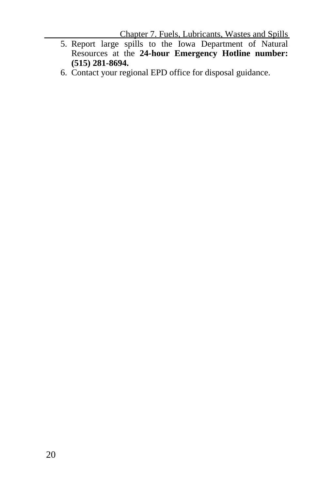Chapter 7. Fuels, Lubricants, Wastes and Spills

- 5. Report large spills to the Iowa Department of Natural Resources at the **24-hour Emergency Hotline number: (515) 281-8694.**
- 6. Contact your regional EPD office for disposal guidance.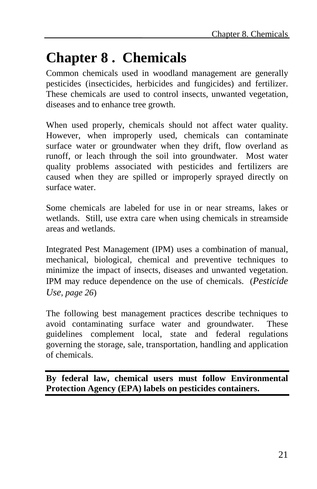# **Chapter 8 . Chemicals**

Common chemicals used in woodland management are generally pesticides (insecticides, herbicides and fungicides) and fertilizer. These chemicals are used to control insects, unwanted vegetation, diseases and to enhance tree growth.

When used properly, chemicals should not affect water quality. However, when improperly used, chemicals can contaminate surface water or groundwater when they drift, flow overland as runoff, or leach through the soil into groundwater. Most water quality problems associated with pesticides and fertilizers are caused when they are spilled or improperly sprayed directly on surface water.

Some chemicals are labeled for use in or near streams, lakes or wetlands. Still, use extra care when using chemicals in streamside areas and wetlands.

Integrated Pest Management (IPM) uses a combination of manual, mechanical, biological, chemical and preventive techniques to minimize the impact of insects, diseases and unwanted vegetation. IPM may reduce dependence on the use of chemicals. (*Pesticide Use, page 26*)

The following best management practices describe techniques to avoid contaminating surface water and groundwater. These guidelines complement local, state and federal regulations governing the storage, sale, transportation, handling and application of chemicals.

**By federal law, chemical users must follow Environmental Protection Agency (EPA) labels on pesticides containers.**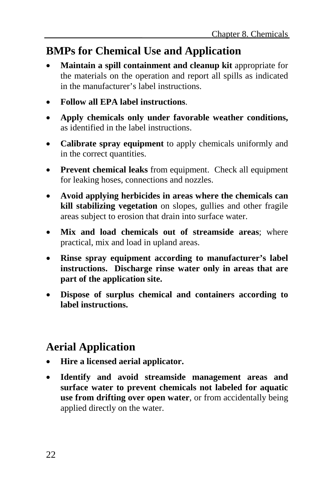## **BMPs for Chemical Use and Application**

- **Maintain a spill containment and cleanup kit** appropriate for the materials on the operation and report all spills as indicated in the manufacturer's label instructions.
- **Follow all EPA label instructions**.
- **Apply chemicals only under favorable weather conditions,** as identified in the label instructions.
- **Calibrate spray equipment** to apply chemicals uniformly and in the correct quantities.
- **Prevent chemical leaks** from equipment. Check all equipment for leaking hoses, connections and nozzles.
- **Avoid applying herbicides in areas where the chemicals can kill stabilizing vegetation** on slopes, gullies and other fragile areas subject to erosion that drain into surface water.
- **Mix and load chemicals out of streamside areas**; where practical, mix and load in upland areas.
- **Rinse spray equipment according to manufacturer's label instructions. Discharge rinse water only in areas that are part of the application site.**
- **Dispose of surplus chemical and containers according to label instructions.**

## **Aerial Application**

- **Hire a licensed aerial applicator.**
- **Identify and avoid streamside management areas and surface water to prevent chemicals not labeled for aquatic use from drifting over open water**, or from accidentally being applied directly on the water.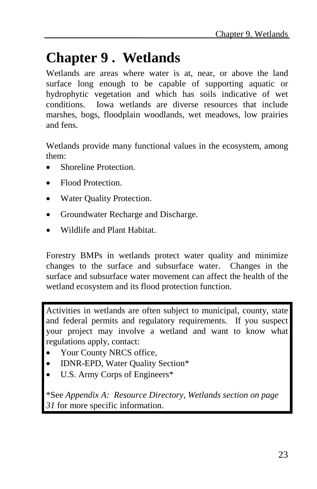# **Chapter 9 . Wetlands**

Wetlands are areas where water is at, near, or above the land surface long enough to be capable of supporting aquatic or hydrophytic vegetation and which has soils indicative of wet conditions. Iowa wetlands are diverse resources that include marshes, bogs, floodplain woodlands, wet meadows, low prairies and fens.

Wetlands provide many functional values in the ecosystem, among them:

- Shoreline Protection.
- Flood Protection.
- Water Quality Protection.
- Groundwater Recharge and Discharge.
- Wildlife and Plant Habitat.

Forestry BMPs in wetlands protect water quality and minimize changes to the surface and subsurface water. Changes in the surface and subsurface water movement can affect the health of the wetland ecosystem and its flood protection function.

Activities in wetlands are often subject to municipal, county, state and federal permits and regulatory requirements. If you suspect your project may involve a wetland and want to know what regulations apply, contact:

- Your County NRCS office,
- IDNR-EPD, Water Quality Section\*
- U.S. Army Corps of Engineers\*

\*See *Appendix A: Resource Directory, Wetlands section on page 31* for more specific information.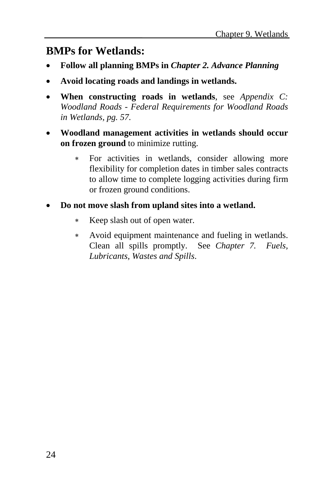## **BMPs for Wetlands:**

- **Follow all planning BMPs in** *Chapter 2. Advance Planning*
- **Avoid locating roads and landings in wetlands.**
- **When constructing roads in wetlands**, see *Appendix C: Woodland Roads - Federal Requirements for Woodland Roads in Wetlands, pg. 57.*
- **Woodland management activities in wetlands should occur on frozen ground** to minimize rutting.
	- ∗ For activities in wetlands, consider allowing more flexibility for completion dates in timber sales contracts to allow time to complete logging activities during firm or frozen ground conditions.
- **Do not move slash from upland sites into a wetland.**
	- ∗ Keep slash out of open water.
	- ∗ Avoid equipment maintenance and fueling in wetlands. Clean all spills promptly. See *Chapter 7. Fuels, Lubricants, Wastes and Spills*.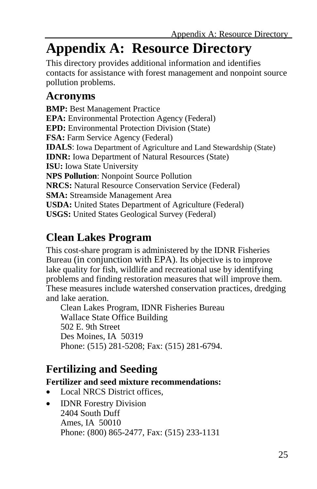# **Appendix A: Resource Directory**

This directory provides additional information and identifies contacts for assistance with forest management and nonpoint source pollution problems.

### **Acronyms**

**BMP:** Best Management Practice **EPA:** Environmental Protection Agency (Federal) **EPD:** Environmental Protection Division (State) **FSA:** Farm Service Agency (Federal) **IDALS**: Iowa Department of Agriculture and Land Stewardship (State) **IDNR:** Iowa Department of Natural Resources (State) **ISU:** Iowa State University **NPS Pollution**: Nonpoint Source Pollution **NRCS:** Natural Resource Conservation Service (Federal) **SMA:** Streamside Management Area **USDA:** United States Department of Agriculture (Federal) **USGS:** United States Geological Survey (Federal)

## **Clean Lakes Program**

This cost-share program is administered by the IDNR Fisheries Bureau (in conjunction with EPA). Its objective is to improve lake quality for fish, wildlife and recreational use by identifying problems and finding restoration measures that will improve them. These measures include watershed conservation practices, dredging and lake aeration.

Clean Lakes Program, IDNR Fisheries Bureau Wallace State Office Building 502 E. 9th Street Des Moines, IA 50319 Phone: (515) 281-5208; Fax: (515) 281-6794.

## **Fertilizing and Seeding**

#### **Fertilizer and seed mixture recommendations:**

- Local NRCS District offices.
- **IDNR** Forestry Division 2404 South Duff Ames, IA 50010 Phone: (800) 865-2477, Fax: (515) 233-1131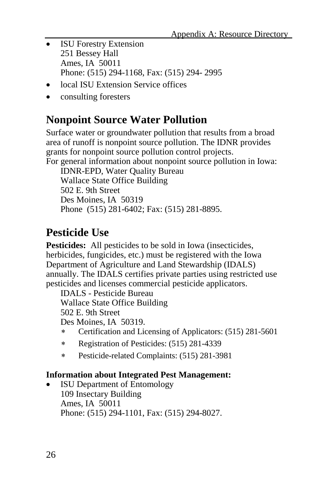- ISU Forestry Extension 251 Bessey Hall Ames, IA 50011 Phone: (515) 294-1168, Fax: (515) 294- 2995
- local ISU Extension Service offices
- consulting foresters

### **Nonpoint Source Water Pollution**

Surface water or groundwater pollution that results from a broad area of runoff is nonpoint source pollution. The IDNR provides grants for nonpoint source pollution control projects.

For general information about nonpoint source pollution in Iowa: IDNR-EPD, Water Quality Bureau

Wallace State Office Building 502 E. 9th Street Des Moines, IA 50319 Phone (515) 281-6402; Fax: (515) 281-8895.

## **Pesticide Use**

**Pesticides:** All pesticides to be sold in Iowa (insecticides, herbicides, fungicides, etc.) must be registered with the Iowa Department of Agriculture and Land Stewardship (IDALS) annually. The IDALS certifies private parties using restricted use pesticides and licenses commercial pesticide applicators.

IDALS - Pesticide Bureau Wallace State Office Building 502 E. 9th Street

- Des Moines, IA 50319.
- ∗ Certification and Licensing of Applicators: (515) 281-5601
- ∗ Registration of Pesticides: (515) 281-4339
- ∗ Pesticide-related Complaints: (515) 281-3981

#### **Information about Integrated Pest Management:**

**ISU Department of Entomology** 109 Insectary Building Ames, IA 50011 Phone: (515) 294-1101, Fax: (515) 294-8027.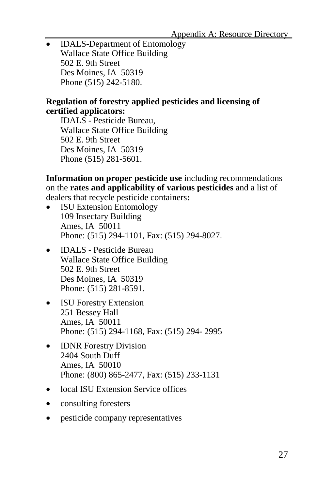• **IDALS-Department of Entomology** Wallace State Office Building 502 E. 9th Street Des Moines, IA 50319 Phone (515) 242-5180.

#### **Regulation of forestry applied pesticides and licensing of certified applicators:**

IDALS - Pesticide Bureau, Wallace State Office Building 502 E. 9th Street Des Moines, IA 50319 Phone (515) 281-5601.

**Information on proper pesticide use** including recommendations on the **rates and applicability of various pesticides** and a list of dealers that recycle pesticide containers**:**

- ISU Extension Entomology 109 Insectary Building Ames, IA 50011 Phone: (515) 294-1101, Fax: (515) 294-8027.
- IDALS Pesticide Bureau Wallace State Office Building 502 E. 9th Street Des Moines, IA 50319 Phone: (515) 281-8591.
- ISU Forestry Extension 251 Bessey Hall Ames, IA 50011 Phone: (515) 294-1168, Fax: (515) 294- 2995
- **IDNR** Forestry Division 2404 South Duff Ames, IA 50010 Phone: (800) 865-2477, Fax: (515) 233-1131
- local ISU Extension Service offices
- consulting foresters
- pesticide company representatives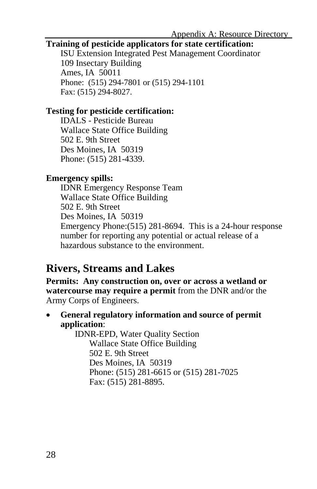#### **Training of pesticide applicators for state certification:**

ISU Extension Integrated Pest Management Coordinator 109 Insectary Building Ames, IA 50011 Phone: (515) 294-7801 or (515) 294-1101 Fax: (515) 294-8027.

#### **Testing for pesticide certification:**

IDALS - Pesticide Bureau Wallace State Office Building 502 E. 9th Street Des Moines, IA 50319 Phone: (515) 281-4339.

#### **Emergency spills:**

IDNR Emergency Response Team Wallace State Office Building 502 E. 9th Street Des Moines, IA 50319 Emergency Phone:(515) 281-8694. This is a 24-hour response number for reporting any potential or actual release of a hazardous substance to the environment.

### **Rivers, Streams and Lakes**

**Permits: Any construction on, over or across a wetland or watercourse may require a permit** from the DNR and/or the Army Corps of Engineers.

• **General regulatory information and source of permit application**:

IDNR-EPD, Water Quality Section Wallace State Office Building 502 E. 9th Street Des Moines, IA 50319 Phone: (515) 281-6615 or (515) 281-7025 Fax: (515) 281-8895.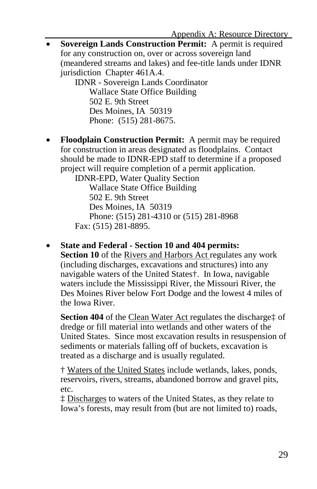**Sovereign Lands Construction Permit:** A permit is required for any construction on, over or across sovereign land (meandered streams and lakes) and fee-title lands under IDNR jurisdiction Chapter 461A.4.

IDNR - Sovereign Lands Coordinator Wallace State Office Building 502 E. 9th Street Des Moines, IA 50319 Phone: (515) 281-8675.

• **Floodplain Construction Permit:** A permit may be required for construction in areas designated as floodplains. Contact should be made to IDNR-EPD staff to determine if a proposed project will require completion of a permit application.

IDNR-EPD, Water Quality Section Wallace State Office Building 502 E. 9th Street Des Moines, IA 50319 Phone: (515) 281-4310 or (515) 281-8968 Fax: (515) 281-8895.

• **State and Federal - Section 10 and 404 permits:**

**Section 10** of the Rivers and Harbors Act regulates any work (including discharges, excavations and structures) into any navigable waters of the United States†. In Iowa, navigable waters include the Mississippi River, the Missouri River, the Des Moines River below Fort Dodge and the lowest 4 miles of the Iowa River.

**Section 404** of the Clean Water Act regulates the discharge‡ of dredge or fill material into wetlands and other waters of the United States. Since most excavation results in resuspension of sediments or materials falling off of buckets, excavation is treated as a discharge and is usually regulated.

† Waters of the United States include wetlands, lakes, ponds, reservoirs, rivers, streams, abandoned borrow and gravel pits, etc.

‡ Discharges to waters of the United States, as they relate to Iowa's forests, may result from (but are not limited to) roads,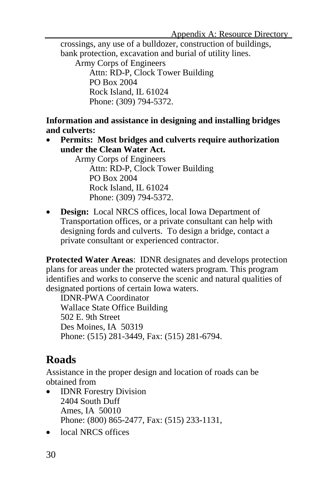crossings, any use of a bulldozer, construction of buildings, bank protection, excavation and burial of utility lines.

Army Corps of Engineers Attn: RD-P, Clock Tower Building PO Box 2004 Rock Island, IL 61024 Phone: (309) 794-5372.

**Information and assistance in designing and installing bridges and culverts:** 

• **Permits: Most bridges and culverts require authorization under the Clean Water Act.**

Army Corps of Engineers Attn: RD-P, Clock Tower Building PO Box 2004 Rock Island, IL 61024 Phone: (309) 794-5372.

• **Design:** Local NRCS offices, local Iowa Department of Transportation offices, or a private consultant can help with designing fords and culverts. To design a bridge, contact a private consultant or experienced contractor.

**Protected Water Areas**: IDNR designates and develops protection plans for areas under the protected waters program. This program identifies and works to conserve the scenic and natural qualities of designated portions of certain Iowa waters.

IDNR-PWA Coordinator Wallace State Office Building 502 E. 9th Street Des Moines, IA 50319 Phone: (515) 281-3449, Fax: (515) 281-6794.

## **Roads**

Assistance in the proper design and location of roads can be obtained from

- **IDNR** Forestry Division 2404 South Duff Ames, IA 50010 Phone: (800) 865-2477, Fax: (515) 233-1131,
- local NRCS offices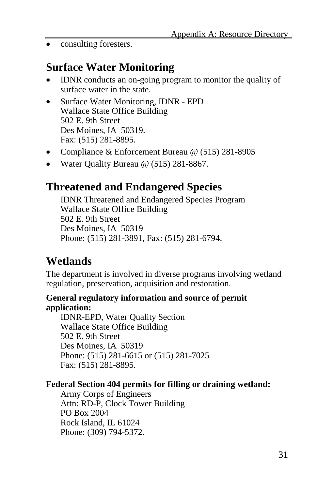• consulting foresters.

### **Surface Water Monitoring**

- IDNR conducts an on-going program to monitor the quality of surface water in the state.
- Surface Water Monitoring, IDNR EPD Wallace State Office Building 502 E. 9th Street Des Moines, IA 50319. Fax: (515) 281-8895.
- Compliance & Enforcement Bureau @ (515) 281-8905
- Water Quality Bureau @ (515) 281-8867.

### **Threatened and Endangered Species**

IDNR Threatened and Endangered Species Program Wallace State Office Building 502 E. 9th Street Des Moines, IA 50319 Phone: (515) 281-3891, Fax: (515) 281-6794.

### **Wetlands**

The department is involved in diverse programs involving wetland regulation, preservation, acquisition and restoration.

#### **General regulatory information and source of permit application:**

IDNR-EPD, Water Quality Section Wallace State Office Building 502 E. 9th Street Des Moines, IA 50319 Phone: (515) 281-6615 or (515) 281-7025 Fax: (515) 281-8895.

#### **Federal Section 404 permits for filling or draining wetland:**

Army Corps of Engineers Attn: RD-P, Clock Tower Building PO Box 2004 Rock Island, IL 61024 Phone: (309) 794-5372.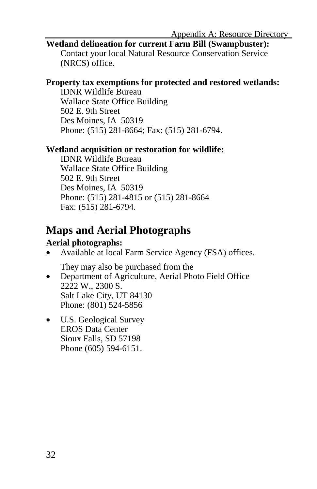#### **Wetland delineation for current Farm Bill (Swampbuster):**

Contact your local Natural Resource Conservation Service (NRCS) office.

#### **Property tax exemptions for protected and restored wetlands:**

IDNR Wildlife Bureau Wallace State Office Building 502 E. 9th Street Des Moines, IA 50319 Phone: (515) 281-8664; Fax: (515) 281-6794.

#### **Wetland acquisition or restoration for wildlife:**

IDNR Wildlife Bureau Wallace State Office Building 502 E. 9th Street Des Moines, IA 50319 Phone: (515) 281-4815 or (515) 281-8664 Fax: (515) 281-6794.

### **Maps and Aerial Photographs**

#### **Aerial photographs:**

• Available at local Farm Service Agency (FSA) offices.

They may also be purchased from the

- Department of Agriculture, Aerial Photo Field Office 2222 W., 2300 S. Salt Lake City, UT 84130 Phone: (801) 524-5856
- U.S. Geological Survey EROS Data Center Sioux Falls, SD 57198 Phone (605) 594-6151.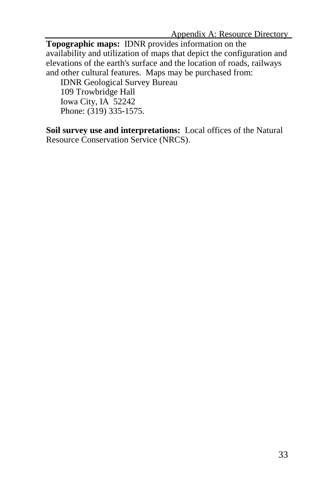**Topographic maps:** IDNR provides information on the availability and utilization of maps that depict the configuration and elevations of the earth's surface and the location of roads, railways and other cultural features. Maps may be purchased from:

IDNR Geological Survey Bureau 109 Trowbridge Hall Iowa City, IA 52242 Phone: (319) 335-1575.

**Soil survey use and interpretations:** Local offices of the Natural Resource Conservation Service (NRCS).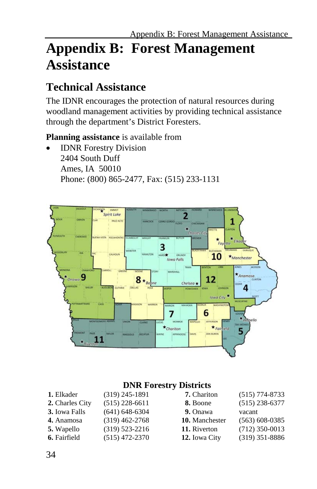# **Appendix B: Forest Management Assistance**

### **Technical Assistance**

The IDNR encourages the protection of natural resources during woodland management activities by providing technical assistance through the department's District Foresters.

#### **Planning assistance** is available from

**IDNR** Forestry Division 2404 South Duff Ames, IA 50010 Phone: (800) 865-2477, Fax: (515) 233-1131



#### **DNR Forestry Districts**

| 1. Elkader      | $(319)$ 245-1891 | 7. Chariton    | $(515) 774 - 8733$ |
|-----------------|------------------|----------------|--------------------|
| 2. Charles City | $(515)$ 228-6611 | 8. Boone       | $(515)$ 238-6377   |
| 3. Iowa Falls   | $(641)$ 648-6304 | 9. Onawa       | vacant             |
| 4. Anamosa      | $(319)$ 462-2768 | 10. Manchester | $(563)$ 608-0385   |
| 5. Wapello      | $(319)$ 523-2216 | 11. Riverton   | $(712)$ 350-0013   |
| 6. Fairfield    | $(515)$ 472-2370 | 12. Iowa City  | $(319)$ 351-8886   |
|                 |                  |                |                    |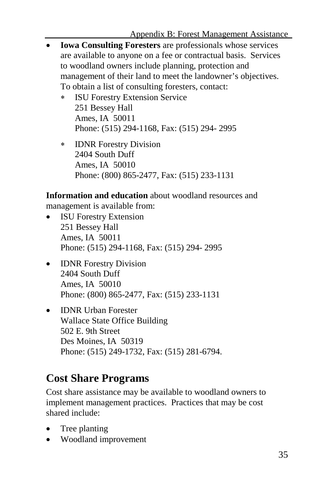- **Iowa Consulting Foresters** are professionals whose services are available to anyone on a fee or contractual basis. Services to woodland owners include planning, protection and management of their land to meet the landowner's objectives. To obtain a list of consulting foresters, contact:
	- **ISU Forestry Extension Service** 251 Bessey Hall Ames, IA 50011 Phone: (515) 294-1168, Fax: (515) 294- 2995
	- ∗ IDNR Forestry Division 2404 South Duff Ames, IA 50010 Phone: (800) 865-2477, Fax: (515) 233-1131

**Information and education** about woodland resources and management is available from:

- **ISU Forestry Extension** 251 Bessey Hall Ames, IA 50011 Phone: (515) 294-1168, Fax: (515) 294- 2995
- **IDNR** Forestry Division 2404 South Duff Ames, IA 50010 Phone: (800) 865-2477, Fax: (515) 233-1131
- **IDNR Urban Forester** Wallace State Office Building 502 E. 9th Street Des Moines, IA 50319 Phone: (515) 249-1732, Fax: (515) 281-6794.

## **Cost Share Programs**

Cost share assistance may be available to woodland owners to implement management practices. Practices that may be cost shared include:

- Tree planting
- Woodland improvement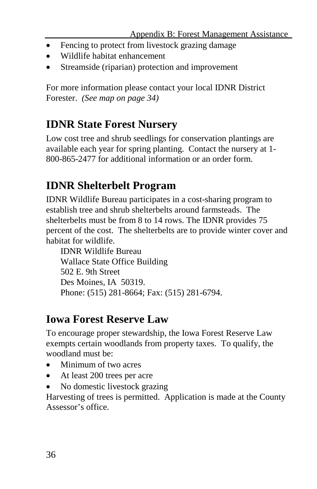- Fencing to protect from livestock grazing damage
- Wildlife habitat enhancement
- Streamside (riparian) protection and improvement

For more information please contact your local IDNR District Forester. *(See map on page 34)*

## **IDNR State Forest Nursery**

Low cost tree and shrub seedlings for conservation plantings are available each year for spring planting. Contact the nursery at 1- 800-865-2477 for additional information or an order form.

## **IDNR Shelterbelt Program**

IDNR Wildlife Bureau participates in a cost-sharing program to establish tree and shrub shelterbelts around farmsteads. The shelterbelts must be from 8 to 14 rows. The IDNR provides 75 percent of the cost. The shelterbelts are to provide winter cover and habitat for wildlife.

IDNR Wildlife Bureau Wallace State Office Building 502 E. 9th Street Des Moines, IA 50319. Phone: (515) 281-8664; Fax: (515) 281-6794.

### **Iowa Forest Reserve Law**

To encourage proper stewardship, the Iowa Forest Reserve Law exempts certain woodlands from property taxes. To qualify, the woodland must be:

- Minimum of two acres
- At least 200 trees per acre
- No domestic livestock grazing

Harvesting of trees is permitted. Application is made at the County Assessor's office.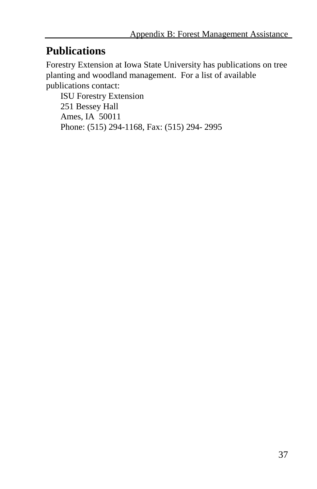### **Publications**

Forestry Extension at Iowa State University has publications on tree planting and woodland management. For a list of available publications contact:

ISU Forestry Extension 251 Bessey Hall Ames, IA 50011 Phone: (515) 294-1168, Fax: (515) 294- 2995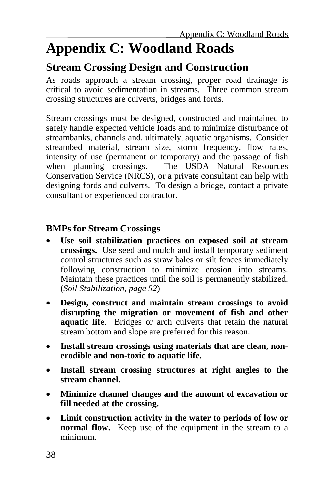# **Appendix C: Woodland Roads**

### **Stream Crossing Design and Construction**

As roads approach a stream crossing, proper road drainage is critical to avoid sedimentation in streams. Three common stream crossing structures are culverts, bridges and fords.

Stream crossings must be designed, constructed and maintained to safely handle expected vehicle loads and to minimize disturbance of streambanks, channels and, ultimately, aquatic organisms. Consider streambed material, stream size, storm frequency, flow rates, intensity of use (permanent or temporary) and the passage of fish<br>when planning crossings. The USDA Natural Resources The USDA Natural Resources. Conservation Service (NRCS), or a private consultant can help with designing fords and culverts. To design a bridge, contact a private consultant or experienced contractor.

#### **BMPs for Stream Crossings**

- **Use soil stabilization practices on exposed soil at stream crossings.** Use seed and mulch and install temporary sediment control structures such as straw bales or silt fences immediately following construction to minimize erosion into streams. Maintain these practices until the soil is permanently stabilized. (*Soil Stabilization, page 52*)
- **Design, construct and maintain stream crossings to avoid disrupting the migration or movement of fish and other aquatic life**. Bridges or arch culverts that retain the natural stream bottom and slope are preferred for this reason.
- **Install stream crossings using materials that are clean, nonerodible and non-toxic to aquatic life.**
- **Install stream crossing structures at right angles to the stream channel.**
- **Minimize channel changes and the amount of excavation or fill needed at the crossing.**
- **Limit construction activity in the water to periods of low or normal flow.** Keep use of the equipment in the stream to a minimum.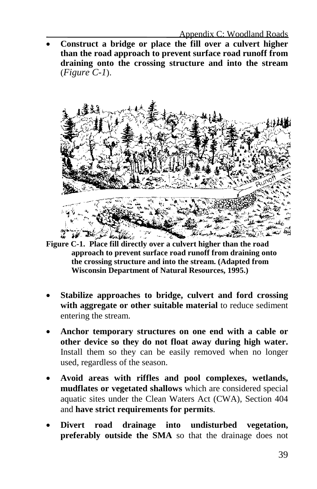• **Construct a bridge or place the fill over a culvert higher than the road approach to prevent surface road runoff from draining onto the crossing structure and into the stream**  (*Figure C-1*).



**Figure C-1. Place fill directly over a culvert higher than the road approach to prevent surface road runoff from draining onto the crossing structure and into the stream. (Adapted from Wisconsin Department of Natural Resources, 1995.)**

- **Stabilize approaches to bridge, culvert and ford crossing with aggregate or other suitable material** to reduce sediment entering the stream.
- **Anchor temporary structures on one end with a cable or other device so they do not float away during high water.** Install them so they can be easily removed when no longer used, regardless of the season.
- **Avoid areas with riffles and pool complexes, wetlands, mudflates or vegetated shallows** which are considered special aquatic sites under the Clean Waters Act (CWA), Section 404 and **have strict requirements for permits**.
- **Divert road drainage into undisturbed vegetation, preferably outside the SMA** so that the drainage does not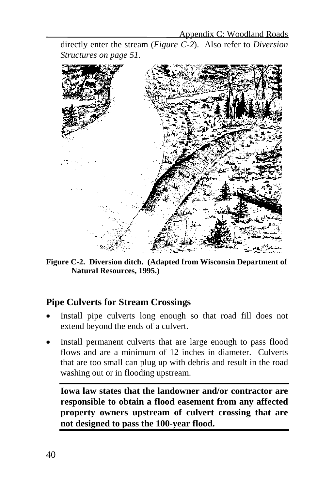directly enter the stream (*Figure C-2*). Also refer to *Diversion Structures on page 51*.



**Figure C-2. Diversion ditch. (Adapted from Wisconsin Department of Natural Resources, 1995.)**

#### **Pipe Culverts for Stream Crossings**

- Install pipe culverts long enough so that road fill does not extend beyond the ends of a culvert.
- Install permanent culverts that are large enough to pass flood flows and are a minimum of 12 inches in diameter. Culverts that are too small can plug up with debris and result in the road washing out or in flooding upstream.

**Iowa law states that the landowner and/or contractor are responsible to obtain a flood easement from any affected property owners upstream of culvert crossing that are not designed to pass the 100-year flood.**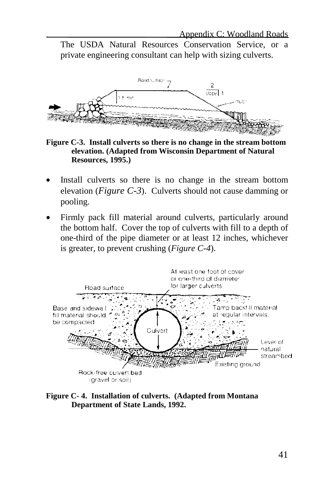The USDA Natural Resources Conservation Service, or a private engineering consultant can help with sizing culverts.



**Figure C-3. Install culverts so there is no change in the stream bottom elevation. (Adapted from Wisconsin Department of Natural Resources, 1995.)**

- Install culverts so there is no change in the stream bottom elevation (*Figure C-3*). Culverts should not cause damming or pooling.
- Firmly pack fill material around culverts, particularly around the bottom half. Cover the top of culverts with fill to a depth of one-third of the pipe diameter or at least 12 inches, whichever is greater, to prevent crushing (*Figure C-4*).



**Figure C- 4. Installation of culverts. (Adapted from Montana Department of State Lands, 1992.**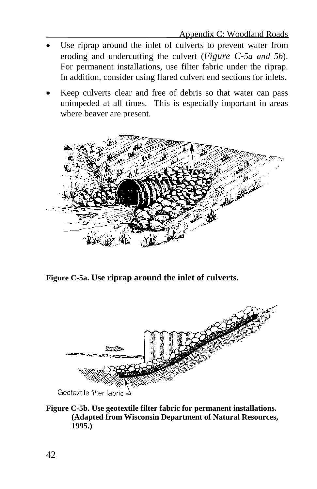- Use riprap around the inlet of culverts to prevent water from eroding and undercutting the culvert (*Figure C-5a and 5b*). For permanent installations, use filter fabric under the riprap. In addition, consider using flared culvert end sections for inlets.
- Keep culverts clear and free of debris so that water can pass unimpeded at all times. This is especially important in areas where beaver are present.



**Figure C-5a. Use riprap around the inlet of culverts.**



**Figure C-5b. Use geotextile filter fabric for permanent installations. (Adapted from Wisconsin Department of Natural Resources, 1995.)**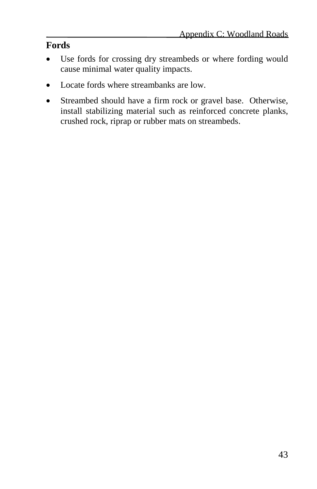#### **Fords**

- Use fords for crossing dry streambeds or where fording would cause minimal water quality impacts.
- Locate fords where streambanks are low.
- Streambed should have a firm rock or gravel base. Otherwise, install stabilizing material such as reinforced concrete planks, crushed rock, riprap or rubber mats on streambeds.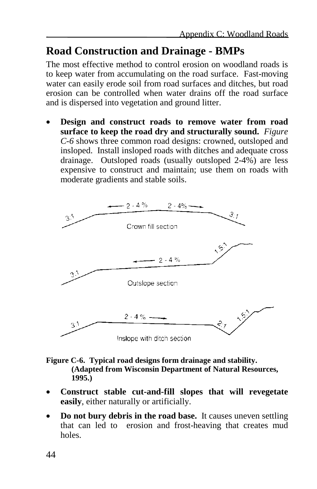## **Road Construction and Drainage - BMPs**

The most effective method to control erosion on woodland roads is to keep water from accumulating on the road surface. Fast-moving water can easily erode soil from road surfaces and ditches, but road erosion can be controlled when water drains off the road surface and is dispersed into vegetation and ground litter.

• **Design and construct roads to remove water from road surface to keep the road dry and structurally sound.** *Figure C-6* shows three common road designs: crowned, outsloped and insloped. Install insloped roads with ditches and adequate cross drainage. Outsloped roads (usually outsloped 2-4%) are less expensive to construct and maintain; use them on roads with moderate gradients and stable soils.



- **Figure C-6. Typical road designs form drainage and stability. (Adapted from Wisconsin Department of Natural Resources, 1995.)**
- **Construct stable cut-and-fill slopes that will revegetate easily**, either naturally or artificially.
- **Do not bury debris in the road base.** It causes uneven settling that can led to erosion and frost-heaving that creates mud holes.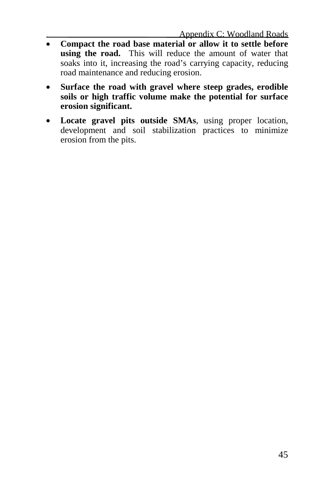- **Compact the road base material or allow it to settle before using the road.** This will reduce the amount of water that soaks into it, increasing the road's carrying capacity, reducing road maintenance and reducing erosion.
- **Surface the road with gravel where steep grades, erodible soils or high traffic volume make the potential for surface erosion significant.**
- **Locate gravel pits outside SMAs**, using proper location, development and soil stabilization practices to minimize erosion from the pits.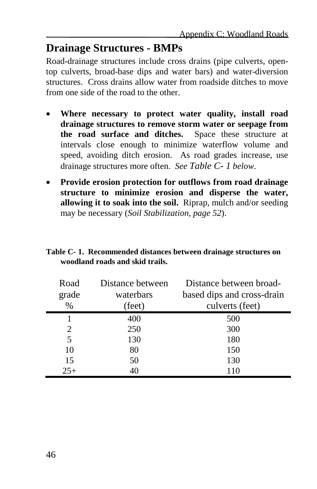### **Drainage Structures - BMPs**

Road-drainage structures include cross drains (pipe culverts, opentop culverts, broad-base dips and water bars) and water-diversion structures. Cross drains allow water from roadside ditches to move from one side of the road to the other.

- **Where necessary to protect water quality, install road drainage structures to remove storm water or seepage from the road surface and ditches.** Space these structure at intervals close enough to minimize waterflow volume and speed, avoiding ditch erosion. As road grades increase, use drainage structures more often. *See Table C- 1 below*.
- **Provide erosion protection for outflows from road drainage structure to minimize erosion and disperse the water, allowing it to soak into the soil.** Riprap, mulch and/or seeding may be necessary (*Soil Stabilization, page 52*).

| Table C-1. Recommended distances between drainage structures on |  |  |  |
|-----------------------------------------------------------------|--|--|--|
| woodland roads and skid trails.                                 |  |  |  |
|                                                                 |  |  |  |

| Road  | Distance between | Distance between broad-    |  |  |
|-------|------------------|----------------------------|--|--|
| grade | waterbars        | based dips and cross-drain |  |  |
| $\%$  | (feet)           | culverts (feet)            |  |  |
| 1     | 400              | 500                        |  |  |
| 2     | 250              | 300                        |  |  |
| 5     | 130              | 180                        |  |  |
| 10    | 80               | 150                        |  |  |
| 15    | 50               | 130                        |  |  |
| $25+$ | 40               | 110                        |  |  |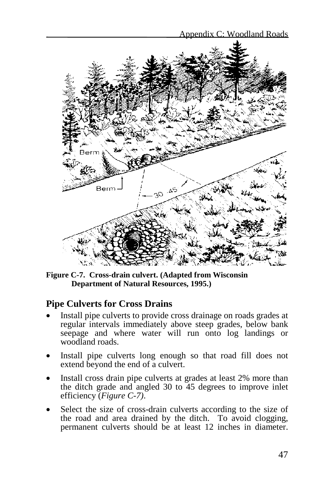

**Figure C-7. Cross-drain culvert. (Adapted from Wisconsin Department of Natural Resources, 1995.)**

#### **Pipe Culverts for Cross Drains**

- Install pipe culverts to provide cross drainage on roads grades at regular intervals immediately above steep grades, below bank seepage and where water will run onto log landings or woodland roads.
- Install pipe culverts long enough so that road fill does not extend beyond the end of a culvert.
- Install cross drain pipe culverts at grades at least 2% more than the ditch grade and angled 30 to 45 degrees to improve inlet efficiency (*Figure C-7)*.
- Select the size of cross-drain culverts according to the size of the road and area drained by the ditch. To avoid clogging, permanent culverts should be at least 12 inches in diameter.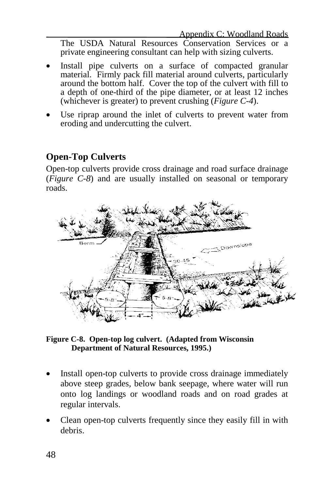The USDA Natural Resources Conservation Services or a private engineering consultant can help with sizing culverts.

- Install pipe culverts on a surface of compacted granular material. Firmly pack fill material around culverts, particularly around the bottom half. Cover the top of the culvert with fill to a depth of one-third of the pipe diameter, or at least 12 inches (whichever is greater) to prevent crushing (*Figure C-4*).
- Use riprap around the inlet of culverts to prevent water from eroding and undercutting the culvert.

#### **Open-Top Culverts**

Open-top culverts provide cross drainage and road surface drainage (*Figure C-8*) and are usually installed on seasonal or temporary roads.



**Figure C-8. Open-top log culvert. (Adapted from Wisconsin Department of Natural Resources, 1995.)**

- Install open-top culverts to provide cross drainage immediately above steep grades, below bank seepage, where water will run onto log landings or woodland roads and on road grades at regular intervals.
- Clean open-top culverts frequently since they easily fill in with debris.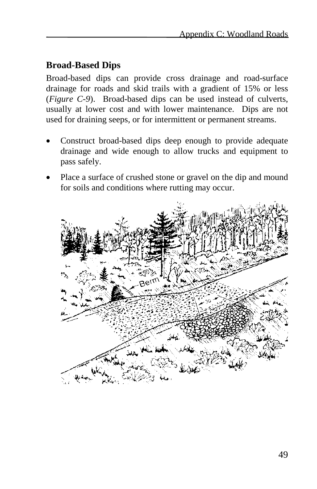#### **Broad-Based Dips**

Broad-based dips can provide cross drainage and road-surface drainage for roads and skid trails with a gradient of 15% or less (*Figure C-9*). Broad-based dips can be used instead of culverts, usually at lower cost and with lower maintenance. Dips are not used for draining seeps, or for intermittent or permanent streams.

- Construct broad-based dips deep enough to provide adequate drainage and wide enough to allow trucks and equipment to pass safely.
- Place a surface of crushed stone or gravel on the dip and mound for soils and conditions where rutting may occur.

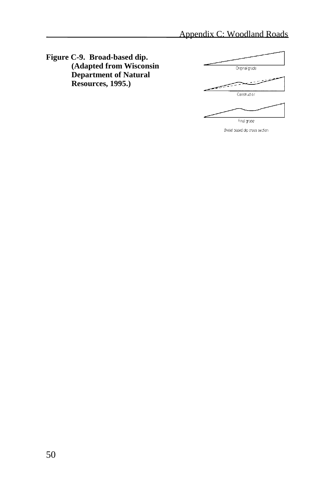**Figure C-9. Broad-based dip. (Adapted from Wisconsin Department of Natural Resources, 1995.)**



Broad based dip cross section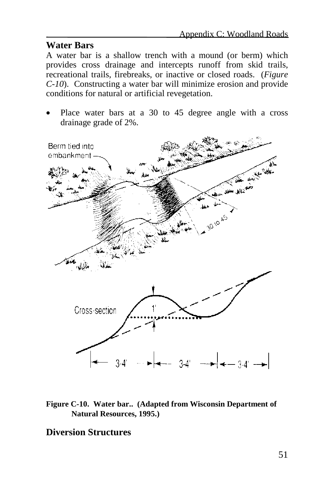#### **Water Bars**

A water bar is a shallow trench with a mound (or berm) which provides cross drainage and intercepts runoff from skid trails, recreational trails, firebreaks, or inactive or closed roads. (*Figure C-10*). Constructing a water bar will minimize erosion and provide conditions for natural or artificial revegetation.

Place water bars at a 30 to 45 degree angle with a cross drainage grade of 2%.



**Figure C-10. Water bar.. (Adapted from Wisconsin Department of Natural Resources, 1995.)**

#### **Diversion Structures**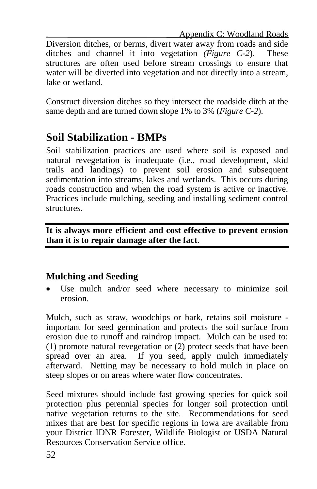Appendix C: Woodland Roads

Diversion ditches, or berms, divert water away from roads and side ditches and channel it into vegetation *(Figure C-2*). These structures are often used before stream crossings to ensure that water will be diverted into vegetation and not directly into a stream, lake or wetland.

Construct diversion ditches so they intersect the roadside ditch at the same depth and are turned down slope 1% to 3% (*Figure C-2*).

## **Soil Stabilization - BMPs**

Soil stabilization practices are used where soil is exposed and natural revegetation is inadequate (i.e., road development, skid trails and landings) to prevent soil erosion and subsequent sedimentation into streams, lakes and wetlands. This occurs during roads construction and when the road system is active or inactive. Practices include mulching, seeding and installing sediment control structures.

**It is always more efficient and cost effective to prevent erosion than it is to repair damage after the fact**.

#### **Mulching and Seeding**

Use mulch and/or seed where necessary to minimize soil erosion.

Mulch, such as straw, woodchips or bark, retains soil moisture important for seed germination and protects the soil surface from erosion due to runoff and raindrop impact. Mulch can be used to: (1) promote natural revegetation or (2) protect seeds that have been spread over an area. If you seed, apply mulch immediately afterward. Netting may be necessary to hold mulch in place on steep slopes or on areas where water flow concentrates.

Seed mixtures should include fast growing species for quick soil protection plus perennial species for longer soil protection until native vegetation returns to the site. Recommendations for seed mixes that are best for specific regions in Iowa are available from your District IDNR Forester, Wildlife Biologist or USDA Natural Resources Conservation Service office.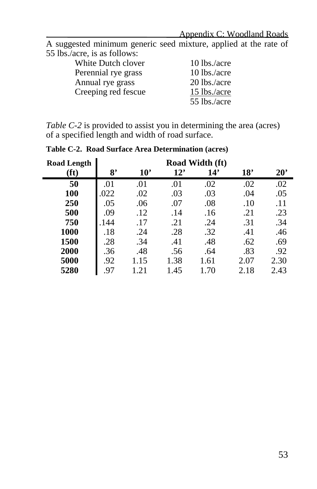#### Appendix C: Woodland Roads

A suggested minimum generic seed mixture, applied at the rate of 55 lbs./acre, is as follows:

| White Dutch clover  | 10 lbs./acre |
|---------------------|--------------|
| Perennial rye grass | 10 lbs./acre |
| Annual rye grass    | 20 lbs./acre |
| Creeping red fescue | 15 lbs./acre |
|                     | 55 lbs./acre |
|                     |              |

*Table C-2* is provided to assist you in determining the area (acres) of a specified length and width of road surface.

| <b>Road Length</b> | <b>Road Width (ft)</b> |              |      |      |      |              |
|--------------------|------------------------|--------------|------|------|------|--------------|
| [ft]               | 8'                     | $10^{\circ}$ | 12'  | 14'  | 18'  | $20^{\circ}$ |
| 50                 | .01                    | .01          | .01  | .02  | .02  | .02          |
| 100                | .022                   | .02          | .03  | .03  | .04  | .05          |
| 250                | .05                    | .06          | .07  | .08  | .10  | .11          |
| 500                | .09                    | .12          | .14  | .16  | .21  | .23          |
| 750                | .144                   | .17          | .21  | .24  | .31  | .34          |
| 1000               | .18                    | .24          | .28  | .32  | .41  | .46          |
| 1500               | .28                    | .34          | .41  | .48  | .62  | .69          |
| 2000               | .36                    | .48          | .56  | .64  | .83  | .92          |
| 5000               | .92                    | 1.15         | 1.38 | 1.61 | 2.07 | 2.30         |
| 5280               | 97                     | 1 21         | 1.45 | 1.70 | 2.18 | 2.43         |

**Table C-2. Road Surface Area Determination (acres)**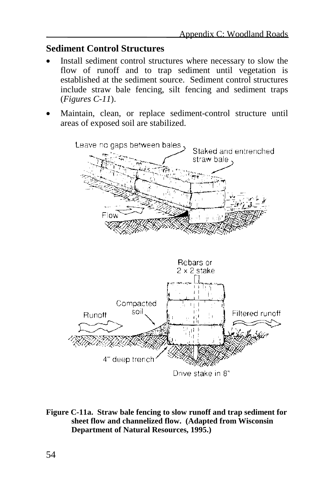#### **Sediment Control Structures**

- Install sediment control structures where necessary to slow the flow of runoff and to trap sediment until vegetation is established at the sediment source. Sediment control structures include straw bale fencing, silt fencing and sediment traps (*Figures C-11*).
- Maintain, clean, or replace sediment-control structure until areas of exposed soil are stabilized.





**Figure C-11a. Straw bale fencing to slow runoff and trap sediment for sheet flow and channelized flow. (Adapted from Wisconsin Department of Natural Resources, 1995.)**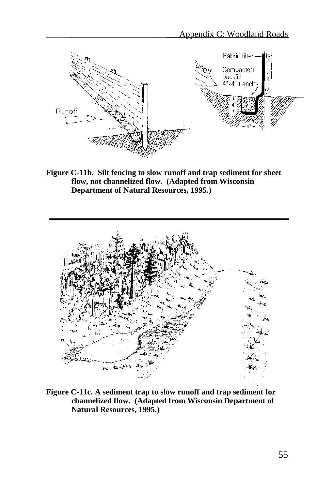

**Figure C-11b. Silt fencing to slow runoff and trap sediment for sheet flow, not channelized flow. (Adapted from Wisconsin Department of Natural Resources, 1995.)**



**Figure C-11c. A sediment trap to slow runoff and trap sediment for channelized flow. (Adapted from Wisconsin Department of Natural Resources, 1995.)**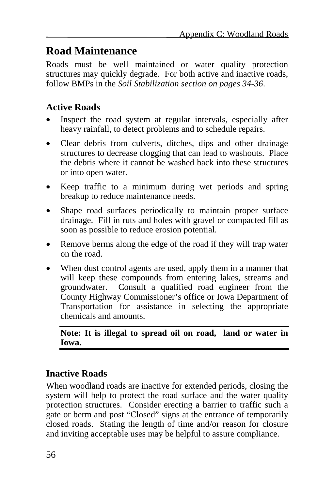## **Road Maintenance**

Roads must be well maintained or water quality protection structures may quickly degrade. For both active and inactive roads, follow BMPs in the *Soil Stabilization section on pages 34-36*.

#### **Active Roads**

- Inspect the road system at regular intervals, especially after heavy rainfall, to detect problems and to schedule repairs.
- Clear debris from culverts, ditches, dips and other drainage structures to decrease clogging that can lead to washouts. Place the debris where it cannot be washed back into these structures or into open water.
- Keep traffic to a minimum during wet periods and spring breakup to reduce maintenance needs.
- Shape road surfaces periodically to maintain proper surface drainage. Fill in ruts and holes with gravel or compacted fill as soon as possible to reduce erosion potential.
- Remove berms along the edge of the road if they will trap water on the road.
- When dust control agents are used, apply them in a manner that will keep these compounds from entering lakes, streams and groundwater. Consult a qualified road engineer from the County Highway Commissioner's office or Iowa Department of Transportation for assistance in selecting the appropriate chemicals and amounts.

**Note: It is illegal to spread oil on road, land or water in Iowa.**

### **Inactive Roads**

When woodland roads are inactive for extended periods, closing the system will help to protect the road surface and the water quality protection structures. Consider erecting a barrier to traffic such a gate or berm and post "Closed" signs at the entrance of temporarily closed roads. Stating the length of time and/or reason for closure and inviting acceptable uses may be helpful to assure compliance.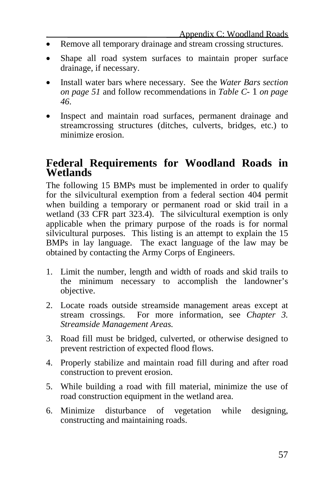- Remove all temporary drainage and stream crossing structures.
- Shape all road system surfaces to maintain proper surface drainage, if necessary.
- Install water bars where necessary. See the *Water Bars section on page 51* and follow recommendations in *Table C-* 1 *on page 46*.
- Inspect and maintain road surfaces, permanent drainage and streamcrossing structures (ditches, culverts, bridges, etc.) to minimize erosion.

#### **Federal Requirements for Woodland Roads in Wetlands**

The following 15 BMPs must be implemented in order to qualify for the silvicultural exemption from a federal section 404 permit when building a temporary or permanent road or skid trail in a wetland (33 CFR part 323.4). The silvicultural exemption is only applicable when the primary purpose of the roads is for normal silvicultural purposes. This listing is an attempt to explain the 15 BMPs in lay language. The exact language of the law may be obtained by contacting the Army Corps of Engineers.

- 1. Limit the number, length and width of roads and skid trails to the minimum necessary to accomplish the landowner's objective.
- 2. Locate roads outside streamside management areas except at stream crossings. For more information, see *Chapter 3. Streamside Management Areas.*
- 3. Road fill must be bridged, culverted, or otherwise designed to prevent restriction of expected flood flows.
- 4. Properly stabilize and maintain road fill during and after road construction to prevent erosion.
- 5. While building a road with fill material, minimize the use of road construction equipment in the wetland area.
- 6. Minimize disturbance of vegetation while designing, constructing and maintaining roads.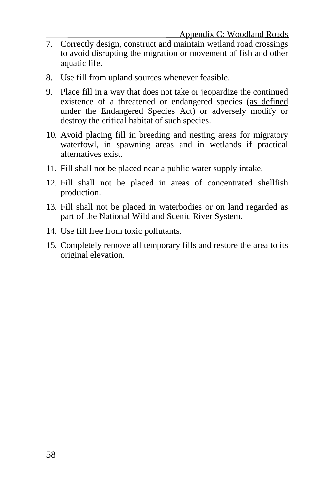- 7. Correctly design, construct and maintain wetland road crossings to avoid disrupting the migration or movement of fish and other aquatic life.
- 8. Use fill from upland sources whenever feasible.
- 9. Place fill in a way that does not take or jeopardize the continued existence of a threatened or endangered species (as defined under the Endangered Species Act) or adversely modify or destroy the critical habitat of such species.
- 10. Avoid placing fill in breeding and nesting areas for migratory waterfowl, in spawning areas and in wetlands if practical alternatives exist.
- 11. Fill shall not be placed near a public water supply intake.
- 12. Fill shall not be placed in areas of concentrated shellfish production.
- 13. Fill shall not be placed in waterbodies or on land regarded as part of the National Wild and Scenic River System.
- 14. Use fill free from toxic pollutants.
- 15. Completely remove all temporary fills and restore the area to its original elevation.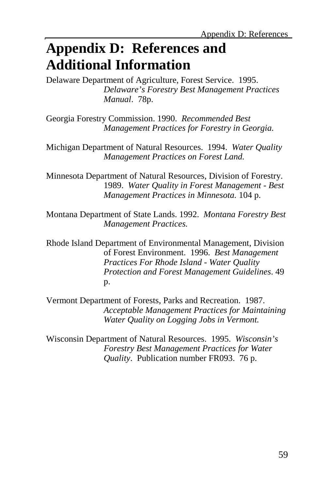# **Appendix D: References and Additional Information**

Delaware Department of Agriculture, Forest Service. 1995. *Delaware's Forestry Best Management Practices Manual*. 78p.

Georgia Forestry Commission. 1990. *Recommended Best Management Practices for Forestry in Georgia.*

Michigan Department of Natural Resources. 1994. *Water Quality Management Practices on Forest Land.*

Minnesota Department of Natural Resources, Division of Forestry. 1989. *Water Quality in Forest Management - Best Management Practices in Minnesota.* 104 p.

Montana Department of State Lands. 1992. *Montana Forestry Best Management Practices.*

Rhode Island Department of Environmental Management, Division of Forest Environment. 1996. *Best Management Practices For Rhode Island - Water Quality Protection and Forest Management Guidelines*. 49 p.

Vermont Department of Forests, Parks and Recreation. 1987. *Acceptable Management Practices for Maintaining Water Quality on Logging Jobs in Vermont.*

Wisconsin Department of Natural Resources. 1995. *Wisconsin's Forestry Best Management Practices for Water Quality*. Publication number FR093. 76 p.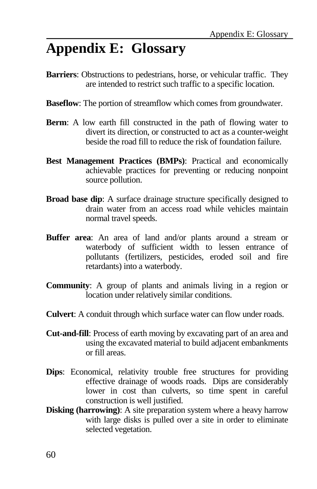# **Appendix E: Glossary**

- **Barriers**: Obstructions to pedestrians, horse, or vehicular traffic. They are intended to restrict such traffic to a specific location.
- **Baseflow**: The portion of streamflow which comes from groundwater.
- **Berm**: A low earth fill constructed in the path of flowing water to divert its direction, or constructed to act as a counter-weight beside the road fill to reduce the risk of foundation failure.
- **Best Management Practices (BMPs)**: Practical and economically achievable practices for preventing or reducing nonpoint source pollution.
- **Broad base dip**: A surface drainage structure specifically designed to drain water from an access road while vehicles maintain normal travel speeds.
- **Buffer area**: An area of land and/or plants around a stream or waterbody of sufficient width to lessen entrance of pollutants (fertilizers, pesticides, eroded soil and fire retardants) into a waterbody.
- **Community**: A group of plants and animals living in a region or location under relatively similar conditions.
- **Culvert**: A conduit through which surface water can flow under roads.
- **Cut-and-fill**: Process of earth moving by excavating part of an area and using the excavated material to build adjacent embankments or fill areas.
- **Dips**: Economical, relativity trouble free structures for providing effective drainage of woods roads. Dips are considerably lower in cost than culverts, so time spent in careful construction is well justified.
- **Disking (harrowing)**: A site preparation system where a heavy harrow with large disks is pulled over a site in order to eliminate selected vegetation.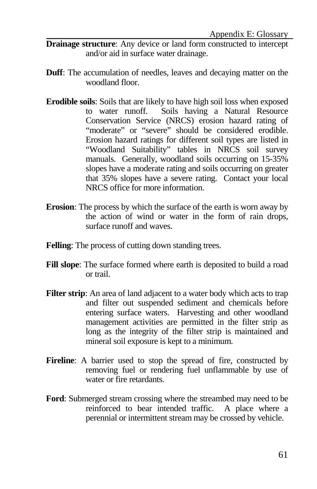- **Drainage structure**: Any device or land form constructed to intercept and/or aid in surface water drainage.
- **Duff**: The accumulation of needles, leaves and decaying matter on the woodland floor.
- **Erodible soils**: Soils that are likely to have high soil loss when exposed to water runoff. Soils having a Natural Resource Conservation Service (NRCS) erosion hazard rating of "moderate" or "severe" should be considered erodible. Erosion hazard ratings for different soil types are listed in "Woodland Suitability" tables in NRCS soil survey manuals. Generally, woodland soils occurring on 15-35% slopes have a moderate rating and soils occurring on greater that 35% slopes have a severe rating. Contact your local NRCS office for more information.
- **Erosion**: The process by which the surface of the earth is worn away by the action of wind or water in the form of rain drops, surface runoff and waves.
- **Felling**: The process of cutting down standing trees.
- **Fill slope**: The surface formed where earth is deposited to build a road or trail.
- **Filter strip:** An area of land adjacent to a water body which acts to trap and filter out suspended sediment and chemicals before entering surface waters. Harvesting and other woodland management activities are permitted in the filter strip as long as the integrity of the filter strip is maintained and mineral soil exposure is kept to a minimum.
- Fireline: A barrier used to stop the spread of fire, constructed by removing fuel or rendering fuel unflammable by use of water or fire retardants.
- **Ford**: Submerged stream crossing where the streambed may need to be reinforced to bear intended traffic. A place where a perennial or intermittent stream may be crossed by vehicle.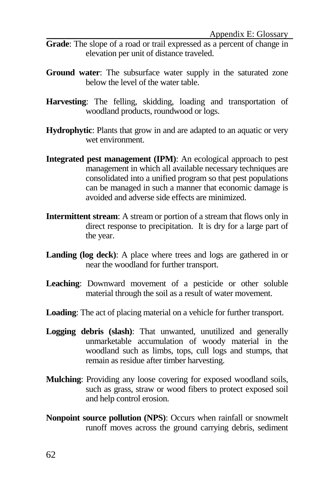- **Grade**: The slope of a road or trail expressed as a percent of change in elevation per unit of distance traveled.
- **Ground water**: The subsurface water supply in the saturated zone below the level of the water table.
- **Harvesting**: The felling, skidding, loading and transportation of woodland products, roundwood or logs.
- **Hydrophytic**: Plants that grow in and are adapted to an aquatic or very wet environment.
- **Integrated pest management (IPM)**: An ecological approach to pest management in which all available necessary techniques are consolidated into a unified program so that pest populations can be managed in such a manner that economic damage is avoided and adverse side effects are minimized.
- **Intermittent stream**: A stream or portion of a stream that flows only in direct response to precipitation. It is dry for a large part of the year.
- Landing (log deck): A place where trees and logs are gathered in or near the woodland for further transport.
- **Leaching**: Downward movement of a pesticide or other soluble material through the soil as a result of water movement.
- **Loading**: The act of placing material on a vehicle for further transport.
- **Logging debris (slash)**: That unwanted, unutilized and generally unmarketable accumulation of woody material in the woodland such as limbs, tops, cull logs and stumps, that remain as residue after timber harvesting.
- **Mulching**: Providing any loose covering for exposed woodland soils, such as grass, straw or wood fibers to protect exposed soil and help control erosion.
- **Nonpoint source pollution (NPS)**: Occurs when rainfall or snowmelt runoff moves across the ground carrying debris, sediment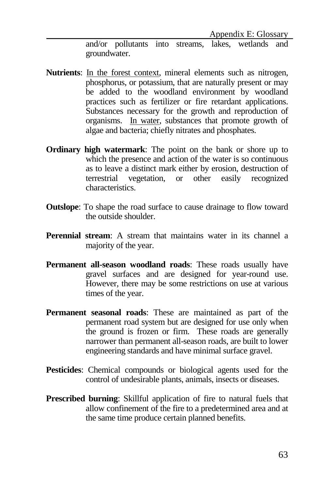and/or pollutants into streams, lakes, wetlands and groundwater.

- **Nutrients**: In the forest context, mineral elements such as nitrogen, phosphorus, or potassium, that are naturally present or may be added to the woodland environment by woodland practices such as fertilizer or fire retardant applications. Substances necessary for the growth and reproduction of organisms. In water, substances that promote growth of algae and bacteria; chiefly nitrates and phosphates.
- **Ordinary high watermark**: The point on the bank or shore up to which the presence and action of the water is so continuous as to leave a distinct mark either by erosion, destruction of terrestrial vegetation, or other easily recognized characteristics.
- **Outslope**: To shape the road surface to cause drainage to flow toward the outside shoulder.
- **Perennial stream**: A stream that maintains water in its channel a majority of the year.
- **Permanent all-season woodland roads**: These roads usually have gravel surfaces and are designed for year-round use. However, there may be some restrictions on use at various times of the year.
- **Permanent seasonal roads**: These are maintained as part of the permanent road system but are designed for use only when the ground is frozen or firm. These roads are generally narrower than permanent all-season roads, are built to lower engineering standards and have minimal surface gravel.
- **Pesticides**: Chemical compounds or biological agents used for the control of undesirable plants, animals, insects or diseases.
- **Prescribed burning**: Skillful application of fire to natural fuels that allow confinement of the fire to a predetermined area and at the same time produce certain planned benefits.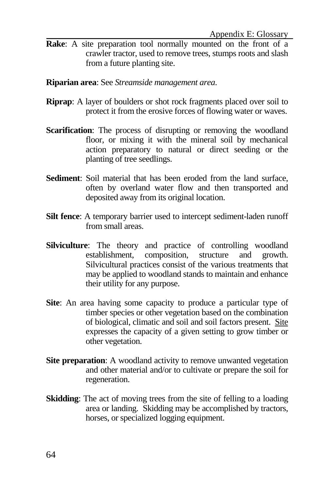- **Rake**: A site preparation tool normally mounted on the front of a crawler tractor, used to remove trees, stumps roots and slash from a future planting site.
- **Riparian area**: See *Streamside management area*.
- **Riprap**: A layer of boulders or shot rock fragments placed over soil to protect it from the erosive forces of flowing water or waves.
- **Scarification:** The process of disrupting or removing the woodland floor, or mixing it with the mineral soil by mechanical action preparatory to natural or direct seeding or the planting of tree seedlings.
- **Sediment**: Soil material that has been eroded from the land surface, often by overland water flow and then transported and deposited away from its original location.
- **Silt fence**: A temporary barrier used to intercept sediment-laden runoff from small areas.
- **Silviculture**: The theory and practice of controlling woodland establishment, composition, structure and growth. Silvicultural practices consist of the various treatments that may be applied to woodland stands to maintain and enhance their utility for any purpose.
- **Site**: An area having some capacity to produce a particular type of timber species or other vegetation based on the combination of biological, climatic and soil and soil factors present. Site expresses the capacity of a given setting to grow timber or other vegetation.
- **Site preparation:** A woodland activity to remove unwanted vegetation and other material and/or to cultivate or prepare the soil for regeneration.
- **Skidding**: The act of moving trees from the site of felling to a loading area or landing. Skidding may be accomplished by tractors, horses, or specialized logging equipment.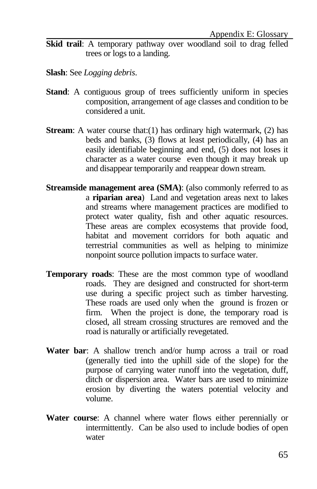- **Skid trail:** A temporary pathway over woodland soil to drag felled trees or logs to a landing.
- **Slash**: See *Logging debris*.
- **Stand**: A contiguous group of trees sufficiently uniform in species composition, arrangement of age classes and condition to be considered a unit.
- **Stream**: A water course that: (1) has ordinary high watermark, (2) has beds and banks, (3) flows at least periodically, (4) has an easily identifiable beginning and end, (5) does not loses it character as a water course even though it may break up and disappear temporarily and reappear down stream.
- **Streamside management area (SMA):** (also commonly referred to as a **riparian area**) Land and vegetation areas next to lakes and streams where management practices are modified to protect water quality, fish and other aquatic resources. These areas are complex ecosystems that provide food, habitat and movement corridors for both aquatic and terrestrial communities as well as helping to minimize nonpoint source pollution impacts to surface water.
- **Temporary roads**: These are the most common type of woodland roads. They are designed and constructed for short-term use during a specific project such as timber harvesting. These roads are used only when the ground is frozen or firm. When the project is done, the temporary road is closed, all stream crossing structures are removed and the road is naturally or artificially revegetated.
- **Water bar**: A shallow trench and/or hump across a trail or road (generally tied into the uphill side of the slope) for the purpose of carrying water runoff into the vegetation, duff, ditch or dispersion area. Water bars are used to minimize erosion by diverting the waters potential velocity and volume.
- **Water course**: A channel where water flows either perennially or intermittently. Can be also used to include bodies of open water